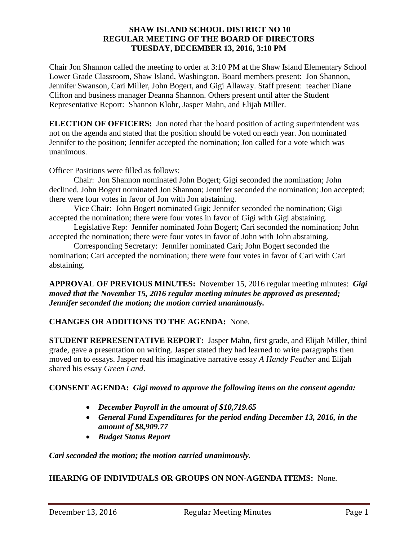### **SHAW ISLAND SCHOOL DISTRICT NO 10 REGULAR MEETING OF THE BOARD OF DIRECTORS TUESDAY, DECEMBER 13, 2016, 3:10 PM**

Chair Jon Shannon called the meeting to order at 3:10 PM at the Shaw Island Elementary School Lower Grade Classroom, Shaw Island, Washington. Board members present: Jon Shannon, Jennifer Swanson, Cari Miller, John Bogert, and Gigi Allaway. Staff present: teacher Diane Clifton and business manager Deanna Shannon. Others present until after the Student Representative Report: Shannon Klohr, Jasper Mahn, and Elijah Miller.

**ELECTION OF OFFICERS:** Jon noted that the board position of acting superintendent was not on the agenda and stated that the position should be voted on each year. Jon nominated Jennifer to the position; Jennifer accepted the nomination; Jon called for a vote which was unanimous.

Officer Positions were filled as follows:

Chair: Jon Shannon nominated John Bogert; Gigi seconded the nomination; John declined. John Bogert nominated Jon Shannon; Jennifer seconded the nomination; Jon accepted; there were four votes in favor of Jon with Jon abstaining.

Vice Chair: John Bogert nominated Gigi; Jennifer seconded the nomination; Gigi accepted the nomination; there were four votes in favor of Gigi with Gigi abstaining.

Legislative Rep: Jennifer nominated John Bogert; Cari seconded the nomination; John accepted the nomination; there were four votes in favor of John with John abstaining.

Corresponding Secretary: Jennifer nominated Cari; John Bogert seconded the nomination; Cari accepted the nomination; there were four votes in favor of Cari with Cari abstaining.

**APPROVAL OF PREVIOUS MINUTES:** November 15, 2016 regular meeting minutes: *Gigi moved that the November 15, 2016 regular meeting minutes be approved as presented; Jennifer seconded the motion; the motion carried unanimously.*

## **CHANGES OR ADDITIONS TO THE AGENDA:** None.

**STUDENT REPRESENTATIVE REPORT:** Jasper Mahn, first grade, and Elijah Miller, third grade, gave a presentation on writing. Jasper stated they had learned to write paragraphs then moved on to essays. Jasper read his imaginative narrative essay *A Handy Feather* and Elijah shared his essay *Green Land*.

## **CONSENT AGENDA:** *Gigi moved to approve the following items on the consent agenda:*

- *December Payroll in the amount of \$10,719.65*
- *General Fund Expenditures for the period ending December 13, 2016, in the amount of \$8,909.77*
- *Budget Status Report*

*Cari seconded the motion; the motion carried unanimously.* 

## **HEARING OF INDIVIDUALS OR GROUPS ON NON-AGENDA ITEMS:** None.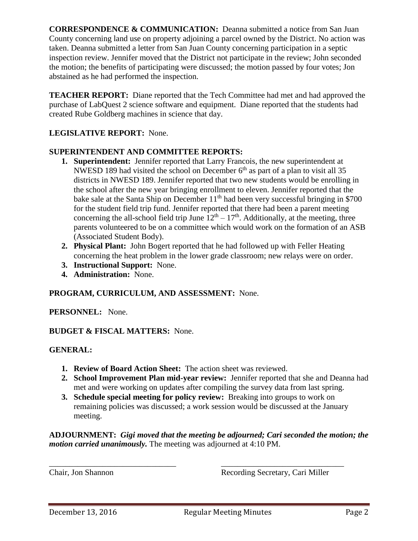**CORRESPONDENCE & COMMUNICATION:** Deanna submitted a notice from San Juan County concerning land use on property adjoining a parcel owned by the District. No action was taken. Deanna submitted a letter from San Juan County concerning participation in a septic inspection review. Jennifer moved that the District not participate in the review; John seconded the motion; the benefits of participating were discussed; the motion passed by four votes; Jon abstained as he had performed the inspection.

**TEACHER REPORT:** Diane reported that the Tech Committee had met and had approved the purchase of LabQuest 2 science software and equipment. Diane reported that the students had created Rube Goldberg machines in science that day.

# **LEGISLATIVE REPORT:** None.

## **SUPERINTENDENT AND COMMITTEE REPORTS:**

- **1. Superintendent:** Jennifer reported that Larry Francois, the new superintendent at NWESD 189 had visited the school on December  $6<sup>th</sup>$  as part of a plan to visit all 35 districts in NWESD 189. Jennifer reported that two new students would be enrolling in the school after the new year bringing enrollment to eleven. Jennifer reported that the bake sale at the Santa Ship on December 11<sup>th</sup> had been very successful bringing in \$700 for the student field trip fund. Jennifer reported that there had been a parent meeting concerning the all-school field trip June  $12<sup>th</sup> - 17<sup>th</sup>$ . Additionally, at the meeting, three parents volunteered to be on a committee which would work on the formation of an ASB (Associated Student Body).
- **2. Physical Plant:** John Bogert reported that he had followed up with Feller Heating concerning the heat problem in the lower grade classroom; new relays were on order.
- **3. Instructional Support:** None.
- **4. Administration:** None.

## **PROGRAM, CURRICULUM, AND ASSESSMENT:** None.

## **PERSONNEL:** None.

## **BUDGET & FISCAL MATTERS:** None.

## **GENERAL:**

- **1. Review of Board Action Sheet:** The action sheet was reviewed.
- **2. School Improvement Plan mid-year review:** Jennifer reported that she and Deanna had met and were working on updates after compiling the survey data from last spring.
- **3. Schedule special meeting for policy review:** Breaking into groups to work on remaining policies was discussed; a work session would be discussed at the January meeting.

**ADJOURNMENT:** *Gigi moved that the meeting be adjourned; Cari seconded the motion; the motion carried unanimously.* The meeting was adjourned at 4:10 PM.

\_\_\_\_\_\_\_\_\_\_\_\_\_\_\_\_\_\_\_\_\_\_\_\_\_\_\_\_\_\_\_ \_\_\_\_\_\_\_\_\_\_\_\_\_\_\_\_\_\_\_\_\_\_\_\_\_\_\_\_\_\_

Chair, Jon Shannon Recording Secretary, Cari Miller